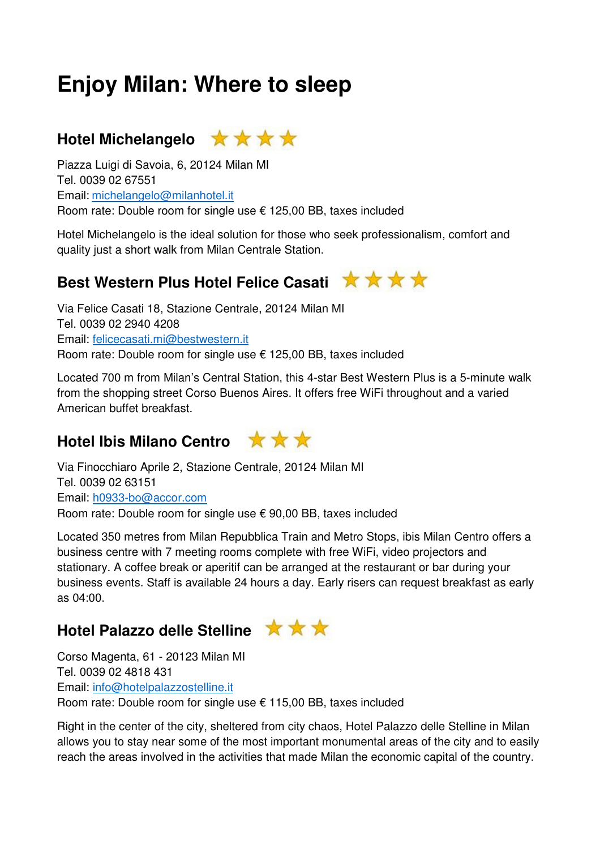# **Enjoy Milan: Where to sleep**



Piazza Luigi di Savoia, 6, 20124 Milan MI Tel. 0039 02 67551 Email: michelangelo@milanhotel.it Room rate: Double room for single use € 125,00 BB, taxes included

Hotel Michelangelo is the ideal solution for those who seek professionalism, comfort and quality just a short walk from Milan Centrale Station.

## **Best Western Plus Hotel Felice Casati \*\*\*\***

Via Felice Casati 18, Stazione Centrale, 20124 Milan MI Tel. 0039 02 2940 4208 Email: felicecasati.mi@bestwestern.it Room rate: Double room for single use € 125,00 BB, taxes included

Located 700 m from Milan's Central Station, this 4-star Best Western Plus is a 5-minute walk from the shopping street Corso Buenos Aires. It offers free WiFi throughout and a varied American buffet breakfast.

#### Hotel Ibis Milano Centro **★★★**



Via Finocchiaro Aprile 2, Stazione Centrale, 20124 Milan MI Tel. 0039 02 63151 Email: h0933-bo@accor.com Room rate: Double room for single use € 90,00 BB, taxes included

Located 350 metres from Milan Repubblica Train and Metro Stops, ibis Milan Centro offers a business centre with 7 meeting rooms complete with free WiFi, video projectors and stationary. A coffee break or aperitif can be arranged at the restaurant or bar during your business events. Staff is available 24 hours a day. Early risers can request breakfast as early as 04:00.

### Hotel Palazzo delle Stelline **★★★**



Corso Magenta, 61 - 20123 Milan MI Tel. 0039 02 4818 431 Email: info@hotelpalazzostelline.it Room rate: Double room for single use € 115,00 BB, taxes included

Right in the center of the city, sheltered from city chaos, Hotel Palazzo delle Stelline in Milan allows you to stay near some of the most important monumental areas of the city and to easily reach the areas involved in the activities that made Milan the economic capital of the country.